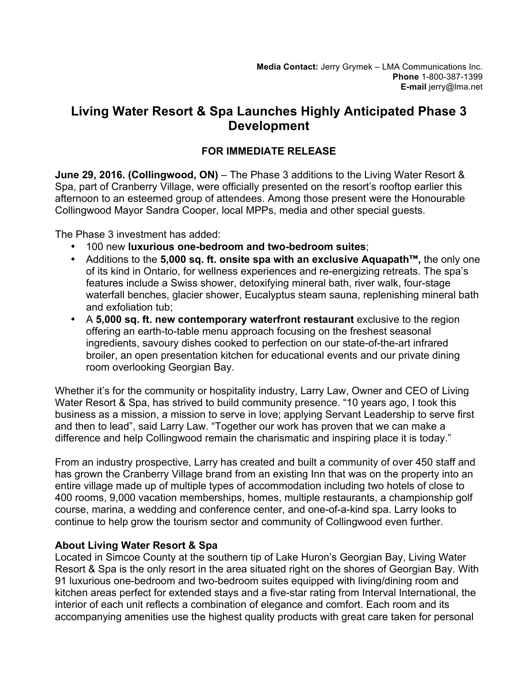## **Living Water Resort & Spa Launches Highly Anticipated Phase 3 Development**

## **FOR IMMEDIATE RELEASE**

**June 29, 2016. (Collingwood, ON)** – The Phase 3 additions to the Living Water Resort & Spa, part of Cranberry Village, were officially presented on the resort's rooftop earlier this afternoon to an esteemed group of attendees. Among those present were the Honourable Collingwood Mayor Sandra Cooper, local MPPs, media and other special guests.

The Phase 3 investment has added:

- 100 new **luxurious one-bedroom and two-bedroom suites**;
- Additions to the **5,000 sq. ft. onsite spa with an exclusive Aquapath™,** the only one of its kind in Ontario, for wellness experiences and re-energizing retreats. The spa's features include a Swiss shower, detoxifying mineral bath, river walk, four-stage waterfall benches, glacier shower, Eucalyptus steam sauna, replenishing mineral bath and exfoliation tub;
- A **5,000 sq. ft. new contemporary waterfront restaurant** exclusive to the region offering an earth-to-table menu approach focusing on the freshest seasonal ingredients, savoury dishes cooked to perfection on our state-of-the-art infrared broiler, an open presentation kitchen for educational events and our private dining room overlooking Georgian Bay.

Whether it's for the community or hospitality industry, Larry Law, Owner and CEO of Living Water Resort & Spa, has strived to build community presence. "10 years ago, I took this business as a mission, a mission to serve in love; applying Servant Leadership to serve first and then to lead", said Larry Law. "Together our work has proven that we can make a difference and help Collingwood remain the charismatic and inspiring place it is today."

From an industry prospective, Larry has created and built a community of over 450 staff and has grown the Cranberry Village brand from an existing Inn that was on the property into an entire village made up of multiple types of accommodation including two hotels of close to 400 rooms, 9,000 vacation memberships, homes, multiple restaurants, a championship golf course, marina, a wedding and conference center, and one-of-a-kind spa. Larry looks to continue to help grow the tourism sector and community of Collingwood even further.

## **About Living Water Resort & Spa**

Located in Simcoe County at the southern tip of Lake Huron's Georgian Bay, Living Water Resort & Spa is the only resort in the area situated right on the shores of Georgian Bay. With 91 luxurious one-bedroom and two-bedroom suites equipped with living/dining room and kitchen areas perfect for extended stays and a five-star rating from Interval International, the interior of each unit reflects a combination of elegance and comfort. Each room and its accompanying amenities use the highest quality products with great care taken for personal